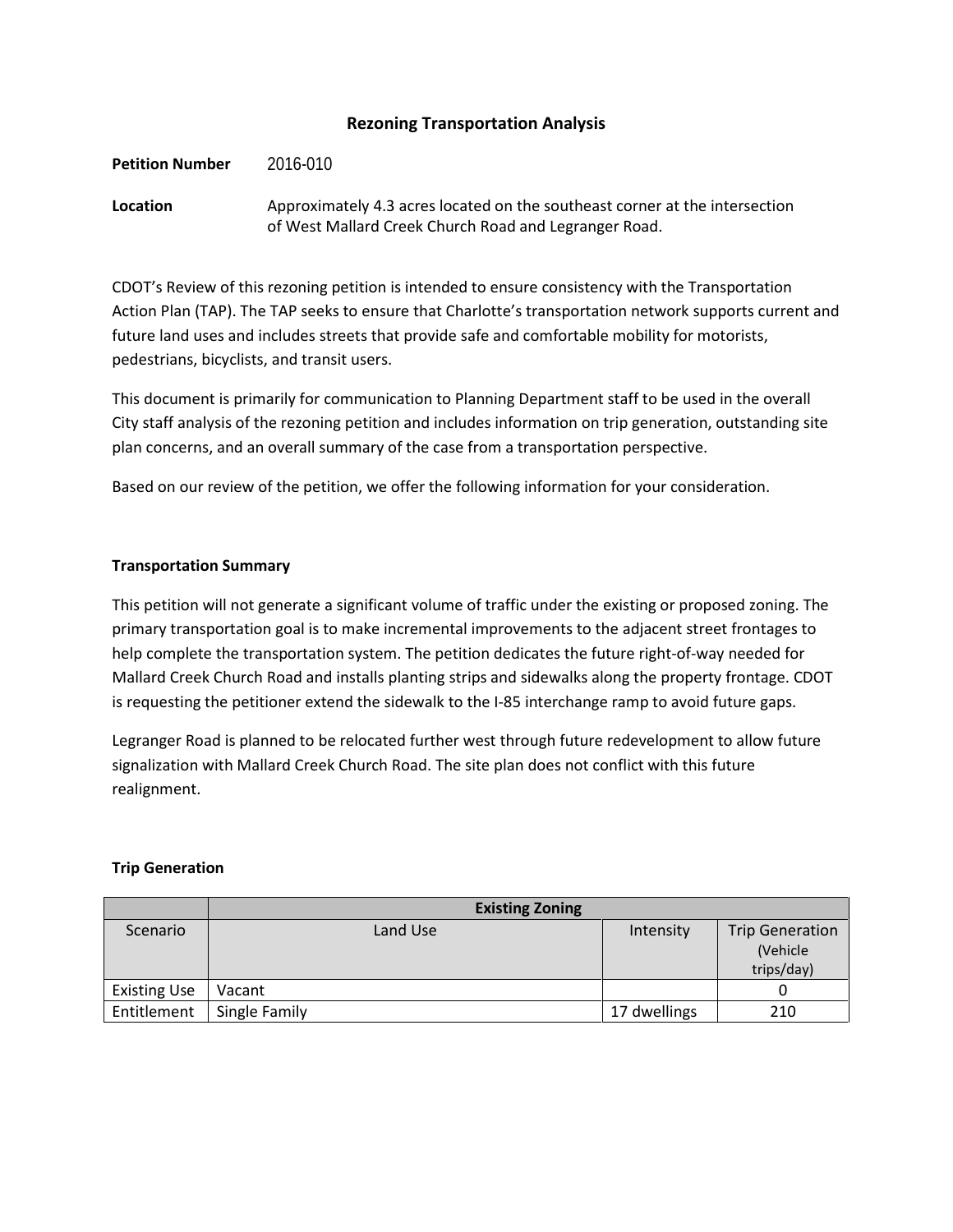# **Rezoning Transportation Analysis**

**Petition Number** 2016-010

**Location** Approximately 4.3 acres located on the southeast corner at the intersection of West Mallard Creek Church Road and Legranger Road.

CDOT's Review of this rezoning petition is intended to ensure consistency with the Transportation Action Plan (TAP). The TAP seeks to ensure that Charlotte's transportation network supports current and future land uses and includes streets that provide safe and comfortable mobility for motorists, pedestrians, bicyclists, and transit users.

This document is primarily for communication to Planning Department staff to be used in the overall City staff analysis of the rezoning petition and includes information on trip generation, outstanding site plan concerns, and an overall summary of the case from a transportation perspective.

Based on our review of the petition, we offer the following information for your consideration.

#### **Transportation Summary**

This petition will not generate a significant volume of traffic under the existing or proposed zoning. The primary transportation goal is to make incremental improvements to the adjacent street frontages to help complete the transportation system. The petition dedicates the future right-of-way needed for Mallard Creek Church Road and installs planting strips and sidewalks along the property frontage. CDOT is requesting the petitioner extend the sidewalk to the I-85 interchange ramp to avoid future gaps.

Legranger Road is planned to be relocated further west through future redevelopment to allow future signalization with Mallard Creek Church Road. The site plan does not conflict with this future realignment.

#### **Trip Generation**

|                     | <b>Existing Zoning</b> |              |                        |
|---------------------|------------------------|--------------|------------------------|
| Scenario            | Land Use               | Intensity    | <b>Trip Generation</b> |
|                     |                        |              | (Vehicle               |
|                     |                        |              | trips/day)             |
| <b>Existing Use</b> | Vacant                 |              |                        |
| Entitlement         | Single Family          | 17 dwellings | 210                    |